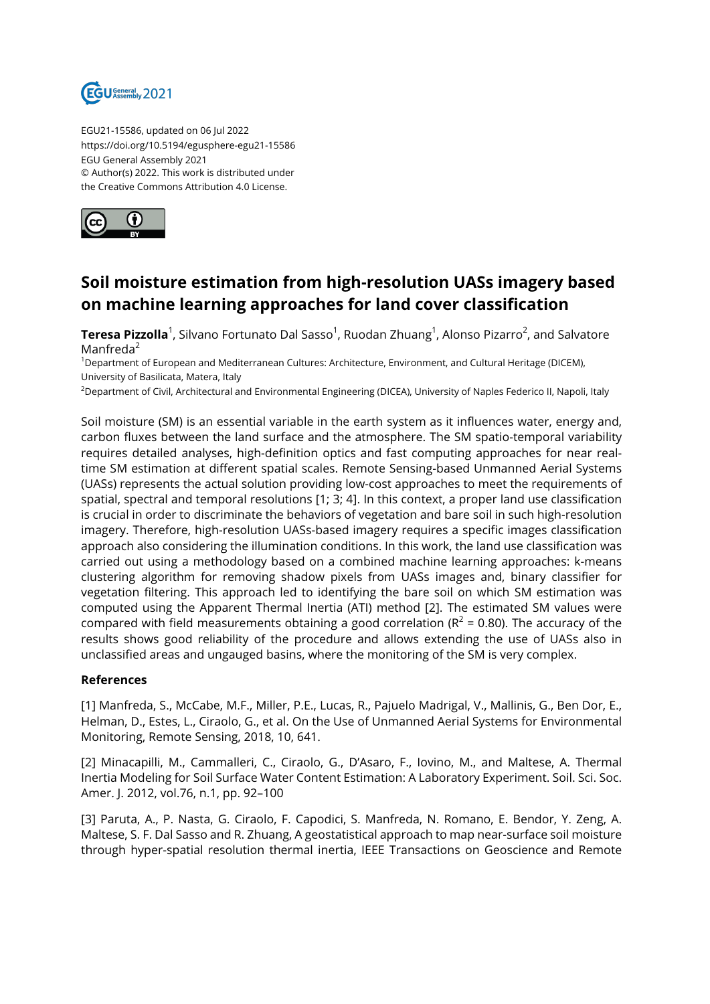

EGU21-15586, updated on 06 Jul 2022 https://doi.org/10.5194/egusphere-egu21-15586 EGU General Assembly 2021 © Author(s) 2022. This work is distributed under the Creative Commons Attribution 4.0 License.



## **Soil moisture estimation from high-resolution UASs imagery based on machine learning approaches for land cover classification**

**Teresa Pizzolla**<sup>1</sup>, Silvano Fortunato Dal Sasso<sup>1</sup>, Ruodan Zhuang<sup>1</sup>, Alonso Pizarro<sup>2</sup>, and Salvatore Manfreda<sup>2</sup>

<sup>1</sup>Department of European and Mediterranean Cultures: Architecture, Environment, and Cultural Heritage (DICEM), University of Basilicata, Matera, Italy

<sup>2</sup>Department of Civil, Architectural and Environmental Engineering (DICEA), University of Naples Federico II, Napoli, Italy

Soil moisture (SM) is an essential variable in the earth system as it influences water, energy and, carbon fluxes between the land surface and the atmosphere. The SM spatio-temporal variability requires detailed analyses, high-definition optics and fast computing approaches for near realtime SM estimation at different spatial scales. Remote Sensing-based Unmanned Aerial Systems (UASs) represents the actual solution providing low-cost approaches to meet the requirements of spatial, spectral and temporal resolutions [1; 3; 4]. In this context, a proper land use classification is crucial in order to discriminate the behaviors of vegetation and bare soil in such high-resolution imagery. Therefore, high-resolution UASs-based imagery requires a specific images classification approach also considering the illumination conditions. In this work, the land use classification was carried out using a methodology based on a combined machine learning approaches: k-means clustering algorithm for removing shadow pixels from UASs images and, binary classifier for vegetation filtering. This approach led to identifying the bare soil on which SM estimation was computed using the Apparent Thermal Inertia (ATI) method [2]. The estimated SM values were compared with field measurements obtaining a good correlation ( $R^2$  = 0.80). The accuracy of the results shows good reliability of the procedure and allows extending the use of UASs also in unclassified areas and ungauged basins, where the monitoring of the SM is very complex.

## **References**

[1] Manfreda, S., McCabe, M.F., Miller, P.E., Lucas, R., Pajuelo Madrigal, V., Mallinis, G., Ben Dor, E., Helman, D., Estes, L., Ciraolo, G., et al. On the Use of Unmanned Aerial Systems for Environmental Monitoring, Remote Sensing, 2018, 10, 641.

[2] Minacapilli, M., Cammalleri, C., Ciraolo, G., D'Asaro, F., Iovino, M., and Maltese, A. Thermal Inertia Modeling for Soil Surface Water Content Estimation: A Laboratory Experiment. Soil. Sci. Soc. Amer. J. 2012, vol.76, n.1, pp. 92–100

[3] Paruta, A., P. Nasta, G. Ciraolo, F. Capodici, S. Manfreda, N. Romano, E. Bendor, Y. Zeng, A. Maltese, S. F. Dal Sasso and R. Zhuang, A geostatistical approach to map near-surface soil moisture through hyper-spatial resolution thermal inertia, IEEE Transactions on Geoscience and Remote